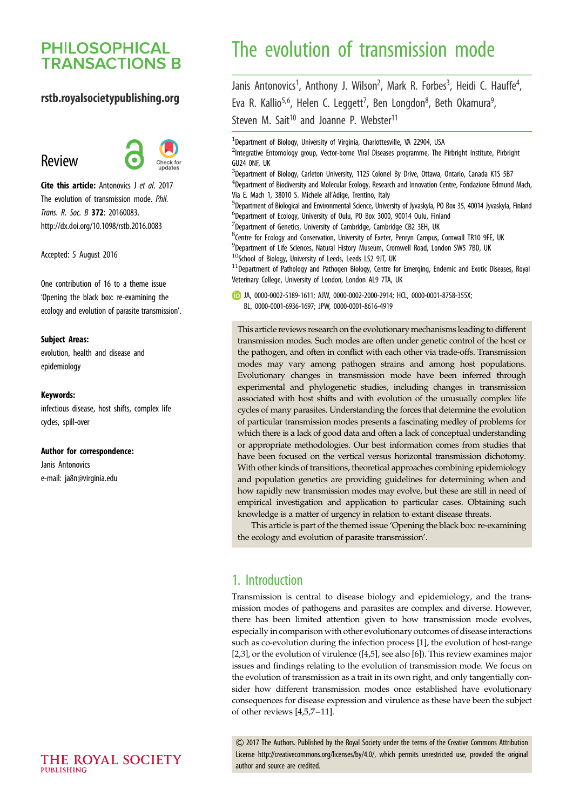# **PHILOSOPHICAL TRANSACTIONS B**

### rstb.royalsocietypublishing.org

# Review



Cite this article: Antonovics J et al. 2017 The evolution of transmission mode. Phil. Trans. R. Soc. B 372: 20160083. http://dx.doi.org/10.1098/rstb.2016.0083

Accepted: 5 August 2016

One contribution of 16 to a theme issue ['Opening the black box: re-examining the](http://dx.doi.org/10.1098/rstb/372/1719) [ecology and evolution of parasite transmission'.](http://dx.doi.org/10.1098/rstb/372/1719)

#### Subject Areas:

evolution, health and disease and epidemiology

#### Keywords:

infectious disease, host shifts, complex life cycles, spill-over

#### Author for correspondence:

Janis Antonovics e-mail: [ja8n@virginia.edu](mailto:ja8n@virginia.edu)

# The evolution of transmission mode

Janis Antonovics<sup>1</sup>, Anthony J. Wilson<sup>2</sup>, Mark R. Forbes<sup>3</sup>, Heidi C. Hauffe<sup>4</sup> .<br>י Eva R. Kallio<sup>5,6</sup>, Helen C. Leggett<sup>7</sup>, Ben Longdon<sup>8</sup>, Beth Okamura<sup>9</sup> ا<br>, Steven M. Sait<sup>10</sup> and Joanne P. Webster<sup>11</sup>

<sup>1</sup>Department of Biology, University of Virginia, Charlottesville, VA 22904, USA

<sup>2</sup>Integrative Entomology group, Vector-borne Viral Diseases programme, The Pirbright Institute, Pirbright GU24 0NF, UK

- <sup>3</sup>Department of Biology, Carleton University, 1125 Colonel By Drive, Ottawa, Ontario, Canada K1S 5B7
- <sup>4</sup>Department of Biodiversity and Molecular Ecology, Research and Innovation Centre, Fondazione Edmund Mach, Via E. Mach 1, 38010 S. Michele all'Adige, Trentino, Italy
- 5 Department of Biological and Environmental Science, University of Jyvaskyla, PO Box 35, 40014 Jyvaskyla, Finland 6 Department of Ecology, University of Oulu, PO Box 3000, 90014 Oulu, Finland
- $\mathrm{^{7}}$ Department of Genetics, University of Cambridge, Cambridge CB2 3EH, UK
- <sup>8</sup>Centre for Ecology and Conservation, University of Exeter, Penryn Campus, Cornwall TR10 9FE, UK
- 9 Department of Life Sciences, Natural History Museum, Cromwell Road, London SW5 7BD, UK
- $^{10}$ School of Biology, University of Leeds, Leeds LS2 9JT, UK

<sup>11</sup>Department of Pathology and Pathogen Biology, Centre for Emerging, Endemic and Exotic Diseases, Royal Veterinary College, University of London, London AL9 7TA, UK

JA, [0000-0002-5189-1611;](http://orcid.org/0000-0002-5189-1611) AJW, [0000-0002-2000-2914;](http://orcid.org/0000-0002-2000-2914) HCL, [0000-0001-8758-355X](http://orcid.org/0000-0001-8758-355X); BL, [0000-0001-6936-1697](http://orcid.org/0000-0001-6936-1697); JPW, [0000-0001-8616-4919](http://orcid.org/0000-0001-8616-4919)

This article reviews research on the evolutionary mechanisms leading to different transmission modes. Such modes are often under genetic control of the host or the pathogen, and often in conflict with each other via trade-offs. Transmission modes may vary among pathogen strains and among host populations. Evolutionary changes in transmission mode have been inferred through experimental and phylogenetic studies, including changes in transmission associated with host shifts and with evolution of the unusually complex life cycles of many parasites. Understanding the forces that determine the evolution of particular transmission modes presents a fascinating medley of problems for which there is a lack of good data and often a lack of conceptual understanding or appropriate methodologies. Our best information comes from studies that have been focused on the vertical versus horizontal transmission dichotomy. With other kinds of transitions, theoretical approaches combining epidemiology and population genetics are providing guidelines for determining when and how rapidly new transmission modes may evolve, but these are still in need of empirical investigation and application to particular cases. Obtaining such knowledge is a matter of urgency in relation to extant disease threats.

This article is part of the themed issue 'Opening the black box: re-examining the ecology and evolution of parasite transmission'.

# 1. Introduction

Transmission is central to disease biology and epidemiology, and the transmission modes of pathogens and parasites are complex and diverse. However, there has been limited attention given to how transmission mode evolves, especially in comparison with other evolutionary outcomes of disease interactions such as co-evolution during the infection process [\[1\]](#page-8-0), the evolution of host-range [[2,3\]](#page-8-0), or the evolution of virulence ([\[4,5\]](#page-8-0), see also [[6](#page-8-0)]). This review examines major issues and findings relating to the evolution of transmission mode. We focus on the evolution of transmission as a trait in its own right, and only tangentially consider how different transmission modes once established have evolutionary consequences for disease expression and virulence as these have been the subject of other reviews [\[4,5,7](#page-8-0)–[11](#page-8-0)].

& 2017 The Authors. Published by the Royal Society under the terms of the Creative Commons Attribution License [http://creativecommons.org/licenses/by/4.0/, which permits unrestricted use, provided the original](http://creativecommons.org/licenses/by/4.0/) [author and source are credited.](http://creativecommons.org/licenses/by/4.0/)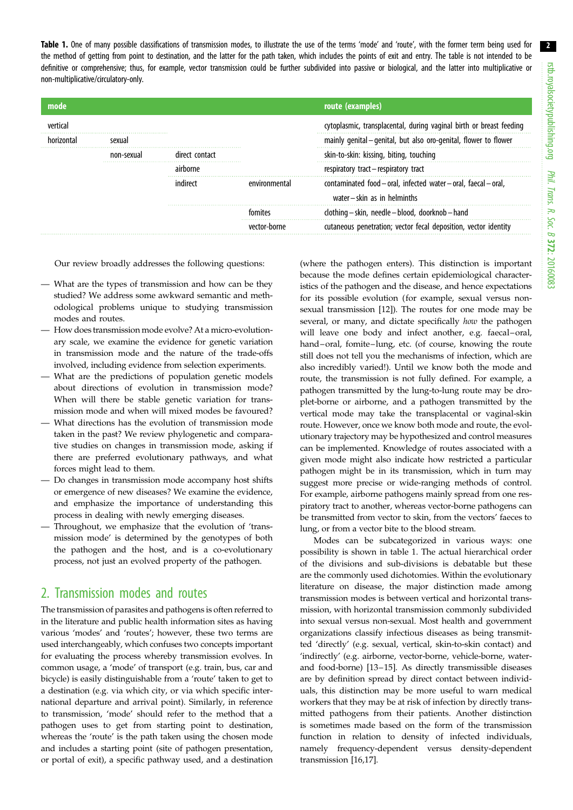Table 1. One of many possible classifications of transmission modes, to illustrate the use of the terms 'mode' and 'route', with the former term being used for the method of getting from point to destination, and the latter for the path taken, which includes the points of exit and entry. The table is not intended to be definitive or comprehensive; thus, for example, vector transmission could be further subdivided into passive or biological, and the latter into multiplicative or non-multiplicative/circulatory-only.

| mode |            |                | route (examples)                                                                        |
|------|------------|----------------|-----------------------------------------------------------------------------------------|
|      |            |                | cytoplasmic, transplacental, during vaginal birth or breast feeding                     |
|      | sexual     |                | mainly genital - genital, but also oro-genital, flower to flower                        |
|      | non-sexual | direct contact | skin-to-skin: kissing, biting, touching                                                 |
|      |            | airborne       | respiratory tract – respiratory tract                                                   |
|      |            |                | contaminated food-oral, infected water-oral, faecal-oral,<br>water-skin as in helminths |
|      |            |                | clothing - skin, needle - blood, doorknob - hand                                        |
|      |            |                | cutaneous penetration; vector fecal deposition, vector identity                         |

Our review broadly addresses the following questions:

- What are the types of transmission and how can be they studied? We address some awkward semantic and methodological problems unique to studying transmission modes and routes.
- How does transmission mode evolve? At a micro-evolutionary scale, we examine the evidence for genetic variation in transmission mode and the nature of the trade-offs involved, including evidence from selection experiments.
- What are the predictions of population genetic models about directions of evolution in transmission mode? When will there be stable genetic variation for transmission mode and when will mixed modes be favoured?
- What directions has the evolution of transmission mode taken in the past? We review phylogenetic and comparative studies on changes in transmission mode, asking if there are preferred evolutionary pathways, and what forces might lead to them.
- Do changes in transmission mode accompany host shifts or emergence of new diseases? We examine the evidence, and emphasize the importance of understanding this process in dealing with newly emerging diseases.
- Throughout, we emphasize that the evolution of 'transmission mode' is determined by the genotypes of both the pathogen and the host, and is a co-evolutionary process, not just an evolved property of the pathogen.

# 2. Transmission modes and routes

The transmission of parasites and pathogens is often referred to in the literature and public health information sites as having various 'modes' and 'routes'; however, these two terms are used interchangeably, which confuses two concepts important for evaluating the process whereby transmission evolves. In common usage, a 'mode' of transport (e.g. train, bus, car and bicycle) is easily distinguishable from a 'route' taken to get to a destination (e.g. via which city, or via which specific international departure and arrival point). Similarly, in reference to transmission, 'mode' should refer to the method that a pathogen uses to get from starting point to destination, whereas the 'route' is the path taken using the chosen mode and includes a starting point (site of pathogen presentation, or portal of exit), a specific pathway used, and a destination (where the pathogen enters). This distinction is important because the mode defines certain epidemiological characteristics of the pathogen and the disease, and hence expectations for its possible evolution (for example, sexual versus nonsexual transmission [\[12](#page-8-0)]). The routes for one mode may be several, or many, and dictate specifically how the pathogen will leave one body and infect another, e.g. faecal–oral, hand–oral, fomite–lung, etc. (of course, knowing the route still does not tell you the mechanisms of infection, which are also incredibly varied!). Until we know both the mode and route, the transmission is not fully defined. For example, a pathogen transmitted by the lung-to-lung route may be droplet-borne or airborne, and a pathogen transmitted by the vertical mode may take the transplacental or vaginal-skin route. However, once we know both mode and route, the evolutionary trajectory may be hypothesized and control measures can be implemented. Knowledge of routes associated with a given mode might also indicate how restricted a particular pathogen might be in its transmission, which in turn may suggest more precise or wide-ranging methods of control. For example, airborne pathogens mainly spread from one respiratory tract to another, whereas vector-borne pathogens can be transmitted from vector to skin, from the vectors' faeces to lung, or from a vector bite to the blood stream.

Modes can be subcategorized in various ways: one possibility is shown in table 1. The actual hierarchical order of the divisions and sub-divisions is debatable but these are the commonly used dichotomies. Within the evolutionary literature on disease, the major distinction made among transmission modes is between vertical and horizontal transmission, with horizontal transmission commonly subdivided into sexual versus non-sexual. Most health and government organizations classify infectious diseases as being transmitted 'directly' (e.g. sexual, vertical, skin-to-skin contact) and 'indirectly' (e.g. airborne, vector-borne, vehicle-borne, waterand food-borne) [\[13](#page-8-0)–[15](#page-8-0)]. As directly transmissible diseases are by definition spread by direct contact between individuals, this distinction may be more useful to warn medical workers that they may be at risk of infection by directly transmitted pathogens from their patients. Another distinction is sometimes made based on the form of the transmission function in relation to density of infected individuals, namely frequency-dependent versus density-dependent transmission [[16,17\]](#page-8-0).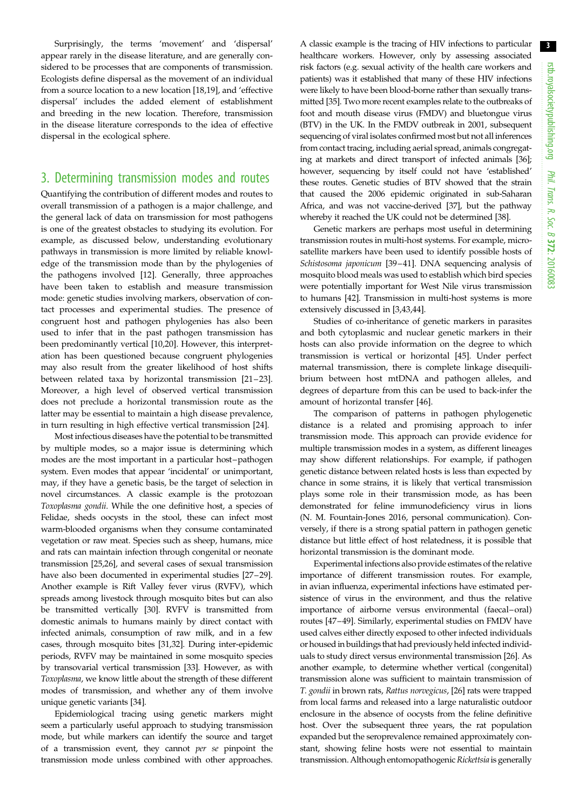Surprisingly, the terms 'movement' and 'dispersal' appear rarely in the disease literature, and are generally considered to be processes that are components of transmission. Ecologists define dispersal as the movement of an individual from a source location to a new location [\[18](#page-8-0),[19\]](#page-8-0), and 'effective dispersal' includes the added element of establishment and breeding in the new location. Therefore, transmission in the disease literature corresponds to the idea of effective dispersal in the ecological sphere.

### 3. Determining transmission modes and routes

Quantifying the contribution of different modes and routes to overall transmission of a pathogen is a major challenge, and the general lack of data on transmission for most pathogens is one of the greatest obstacles to studying its evolution. For example, as discussed below, understanding evolutionary pathways in transmission is more limited by reliable knowledge of the transmission mode than by the phylogenies of the pathogens involved [[12\]](#page-8-0). Generally, three approaches have been taken to establish and measure transmission mode: genetic studies involving markers, observation of contact processes and experimental studies. The presence of congruent host and pathogen phylogenies has also been used to infer that in the past pathogen transmission has been predominantly vertical [\[10,20](#page-8-0)]. However, this interpretation has been questioned because congruent phylogenies may also result from the greater likelihood of host shifts between related taxa by horizontal transmission [[21](#page-8-0)–[23](#page-8-0)]. Moreover, a high level of observed vertical transmission does not preclude a horizontal transmission route as the latter may be essential to maintain a high disease prevalence, in turn resulting in high effective vertical transmission [[24\]](#page-8-0).

Most infectious diseases have the potential to be transmitted by multiple modes, so a major issue is determining which modes are the most important in a particular host–pathogen system. Even modes that appear 'incidental' or unimportant, may, if they have a genetic basis, be the target of selection in novel circumstances. A classic example is the protozoan Toxoplasma gondii. While the one definitive host, a species of Felidae, sheds oocysts in the stool, these can infect most warm-blooded organisms when they consume contaminated vegetation or raw meat. Species such as sheep, humans, mice and rats can maintain infection through congenital or neonate transmission [\[25,26](#page-9-0)], and several cases of sexual transmission have also been documented in experimental studies [[27](#page-9-0)–[29](#page-9-0)]. Another example is Rift Valley fever virus (RVFV), which spreads among livestock through mosquito bites but can also be transmitted vertically [[30\]](#page-9-0). RVFV is transmitted from domestic animals to humans mainly by direct contact with infected animals, consumption of raw milk, and in a few cases, through mosquito bites [\[31,32](#page-9-0)]. During inter-epidemic periods, RVFV may be maintained in some mosquito species by transovarial vertical transmission [\[33\]](#page-9-0). However, as with Toxoplasma, we know little about the strength of these different modes of transmission, and whether any of them involve unique genetic variants [\[34](#page-9-0)].

Epidemiological tracing using genetic markers might seem a particularly useful approach to studying transmission mode, but while markers can identify the source and target of a transmission event, they cannot per se pinpoint the transmission mode unless combined with other approaches.

A classic example is the tracing of HIV infections to particular healthcare workers. However, only by assessing associated risk factors (e.g. sexual activity of the health care workers and patients) was it established that many of these HIV infections were likely to have been blood-borne rather than sexually transmitted [[35](#page-9-0)]. Two more recent examples relate to the outbreaks of foot and mouth disease virus (FMDV) and bluetongue virus (BTV) in the UK. In the FMDV outbreak in 2001, subsequent sequencing of viral isolates confirmed most but not all inferences from contact tracing, including aerial spread, animals congregating at markets and direct transport of infected animals [\[36\]](#page-9-0); however, sequencing by itself could not have 'established' these routes. Genetic studies of BTV showed that the strain that caused the 2006 epidemic originated in sub-Saharan Africa, and was not vaccine-derived [[37](#page-9-0)], but the pathway whereby it reached the UK could not be determined [\[38\]](#page-9-0).

Genetic markers are perhaps most useful in determining transmission routes in multi-host systems. For example, microsatellite markers have been used to identify possible hosts of Schistosoma japonicum [[39](#page-9-0)–[41\]](#page-9-0). DNA sequencing analysis of mosquito blood meals was used to establish which bird species were potentially important for West Nile virus transmission to humans [\[42](#page-9-0)]. Transmission in multi-host systems is more extensively discussed in [[3](#page-8-0)[,43](#page-9-0),[44](#page-9-0)].

Studies of co-inheritance of genetic markers in parasites and both cytoplasmic and nuclear genetic markers in their hosts can also provide information on the degree to which transmission is vertical or horizontal [[45\]](#page-9-0). Under perfect maternal transmission, there is complete linkage disequilibrium between host mtDNA and pathogen alleles, and degrees of departure from this can be used to back-infer the amount of horizontal transfer [[46\]](#page-9-0).

The comparison of patterns in pathogen phylogenetic distance is a related and promising approach to infer transmission mode. This approach can provide evidence for multiple transmission modes in a system, as different lineages may show different relationships. For example, if pathogen genetic distance between related hosts is less than expected by chance in some strains, it is likely that vertical transmission plays some role in their transmission mode, as has been demonstrated for feline immunodeficiency virus in lions (N. M. Fountain-Jones 2016, personal communication). Conversely, if there is a strong spatial pattern in pathogen genetic distance but little effect of host relatedness, it is possible that horizontal transmission is the dominant mode.

Experimental infections also provide estimates of the relative importance of different transmission routes. For example, in avian influenza, experimental infections have estimated persistence of virus in the environment, and thus the relative importance of airborne versus environmental (faecal–oral) routes [[47](#page-9-0)–[49\]](#page-9-0). Similarly, experimental studies on FMDV have used calves either directly exposed to other infected individuals or housed in buildings that had previously held infected individuals to study direct versus environmental transmission [\[26\]](#page-9-0). As another example, to determine whether vertical (congenital) transmission alone was sufficient to maintain transmission of T. gondii in brown rats, Rattus norvegicus, [[26](#page-9-0)] rats were trapped from local farms and released into a large naturalistic outdoor enclosure in the absence of oocysts from the feline definitive host. Over the subsequent three years, the rat population expanded but the seroprevalence remained approximately constant, showing feline hosts were not essential to maintain transmission. Although entomopathogenic Rickettsia is generally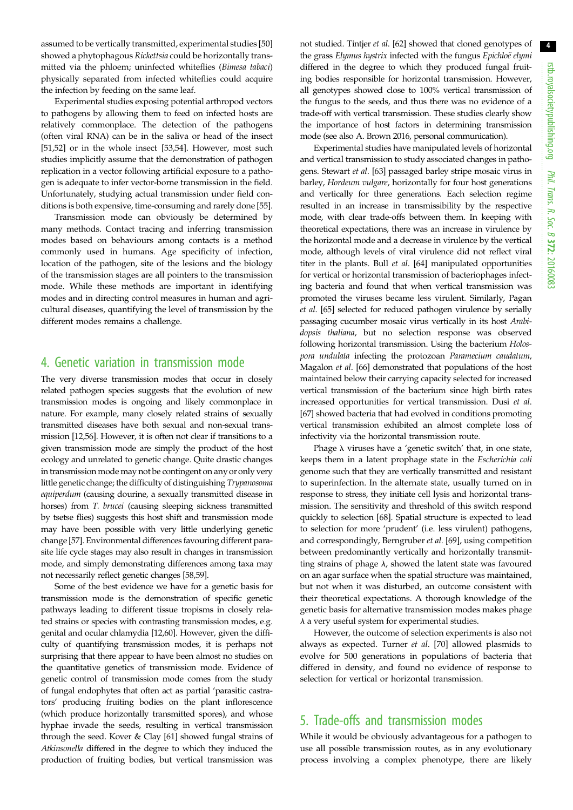assumed to be vertically transmitted, experimental studies [[50\]](#page-9-0) showed a phytophagous Rickettsia could be horizontally transmitted via the phloem; uninfected whiteflies (Bimesa tabaci) physically separated from infected whiteflies could acquire the infection by feeding on the same leaf.

Experimental studies exposing potential arthropod vectors to pathogens by allowing them to feed on infected hosts are relatively commonplace. The detection of the pathogens (often viral RNA) can be in the saliva or head of the insect [\[51,52](#page-9-0)] or in the whole insect [[53,54\]](#page-9-0). However, most such studies implicitly assume that the demonstration of pathogen replication in a vector following artificial exposure to a pathogen is adequate to infer vector-borne transmission in the field. Unfortunately, studying actual transmission under field conditions is both expensive, time-consuming and rarely done [[55](#page-9-0)].

Transmission mode can obviously be determined by many methods. Contact tracing and inferring transmission modes based on behaviours among contacts is a method commonly used in humans. Age specificity of infection, location of the pathogen, site of the lesions and the biology of the transmission stages are all pointers to the transmission mode. While these methods are important in identifying modes and in directing control measures in human and agricultural diseases, quantifying the level of transmission by the different modes remains a challenge.

### 4. Genetic variation in transmission mode

The very diverse transmission modes that occur in closely related pathogen species suggests that the evolution of new transmission modes is ongoing and likely commonplace in nature. For example, many closely related strains of sexually transmitted diseases have both sexual and non-sexual transmission [\[12](#page-8-0)[,56](#page-9-0)]. However, it is often not clear if transitions to a given transmission mode are simply the product of the host ecology and unrelated to genetic change. Quite drastic changes in transmission mode may not be contingent on any or only very little genetic change; the difficulty of distinguishing Trypanosoma equiperdum (causing dourine, a sexually transmitted disease in horses) from T. brucei (causing sleeping sickness transmitted by tsetse flies) suggests this host shift and transmission mode may have been possible with very little underlying genetic change [\[57\]](#page-9-0). Environmental differences favouring different parasite life cycle stages may also result in changes in transmission mode, and simply demonstrating differences among taxa may not necessarily reflect genetic changes [[58,59](#page-9-0)].

Some of the best evidence we have for a genetic basis for transmission mode is the demonstration of specific genetic pathways leading to different tissue tropisms in closely related strains or species with contrasting transmission modes, e.g. genital and ocular chlamydia [\[12,](#page-8-0)[60](#page-9-0)]. However, given the difficulty of quantifying transmission modes, it is perhaps not surprising that there appear to have been almost no studies on the quantitative genetics of transmission mode. Evidence of genetic control of transmission mode comes from the study of fungal endophytes that often act as partial 'parasitic castrators' producing fruiting bodies on the plant inflorescence (which produce horizontally transmitted spores), and whose hyphae invade the seeds, resulting in vertical transmission through the seed. Kover & Clay [\[61\]](#page-9-0) showed fungal strains of Atkinsonella differed in the degree to which they induced the production of fruiting bodies, but vertical transmission was

not studied. Tintjer et al. [[62](#page-9-0)] showed that cloned genotypes of the grass Elymus hystrix infected with the fungus Epichloë elymi differed in the degree to which they produced fungal fruiting bodies responsible for horizontal transmission. However, all genotypes showed close to 100% vertical transmission of the fungus to the seeds, and thus there was no evidence of a trade-off with vertical transmission. These studies clearly show the importance of host factors in determining transmission mode (see also A. Brown 2016, personal communication).

Experimental studies have manipulated levels of horizontal and vertical transmission to study associated changes in pathogens. Stewart et al. [\[63](#page-9-0)] passaged barley stripe mosaic virus in barley, Hordeum vulgare, horizontally for four host generations and vertically for three generations. Each selection regime resulted in an increase in transmissibility by the respective mode, with clear trade-offs between them. In keeping with theoretical expectations, there was an increase in virulence by the horizontal mode and a decrease in virulence by the vertical mode, although levels of viral virulence did not reflect viral titer in the plants. Bull et al. [[64](#page-10-0)] manipulated opportunities for vertical or horizontal transmission of bacteriophages infecting bacteria and found that when vertical transmission was promoted the viruses became less virulent. Similarly, Pagan et al. [\[65\]](#page-10-0) selected for reduced pathogen virulence by serially passaging cucumber mosaic virus vertically in its host Arabidopsis thaliana, but no selection response was observed following horizontal transmission. Using the bacterium Holospora undulata infecting the protozoan Paramecium caudatum, Magalon et al. [[66\]](#page-10-0) demonstrated that populations of the host maintained below their carrying capacity selected for increased vertical transmission of the bacterium since high birth rates increased opportunities for vertical transmission. Dusi et al. [[67](#page-10-0)] showed bacteria that had evolved in conditions promoting vertical transmission exhibited an almost complete loss of infectivity via the horizontal transmission route.

Phage  $\lambda$  viruses have a 'genetic switch' that, in one state, keeps them in a latent prophage state in the Escherichia coli genome such that they are vertically transmitted and resistant to superinfection. In the alternate state, usually turned on in response to stress, they initiate cell lysis and horizontal transmission. The sensitivity and threshold of this switch respond quickly to selection [\[68](#page-10-0)]. Spatial structure is expected to lead to selection for more 'prudent' (i.e. less virulent) pathogens, and correspondingly, Berngruber et al. [[69\]](#page-10-0), using competition between predominantly vertically and horizontally transmitting strains of phage  $\lambda$ , showed the latent state was favoured on an agar surface when the spatial structure was maintained, but not when it was disturbed, an outcome consistent with their theoretical expectations. A thorough knowledge of the genetic basis for alternative transmission modes makes phage  $\lambda$  a very useful system for experimental studies.

However, the outcome of selection experiments is also not always as expected. Turner et al. [[70\]](#page-10-0) allowed plasmids to evolve for 500 generations in populations of bacteria that differed in density, and found no evidence of response to selection for vertical or horizontal transmission.

# 5. Trade-offs and transmission modes

While it would be obviously advantageous for a pathogen to use all possible transmission routes, as in any evolutionary process involving a complex phenotype, there are likely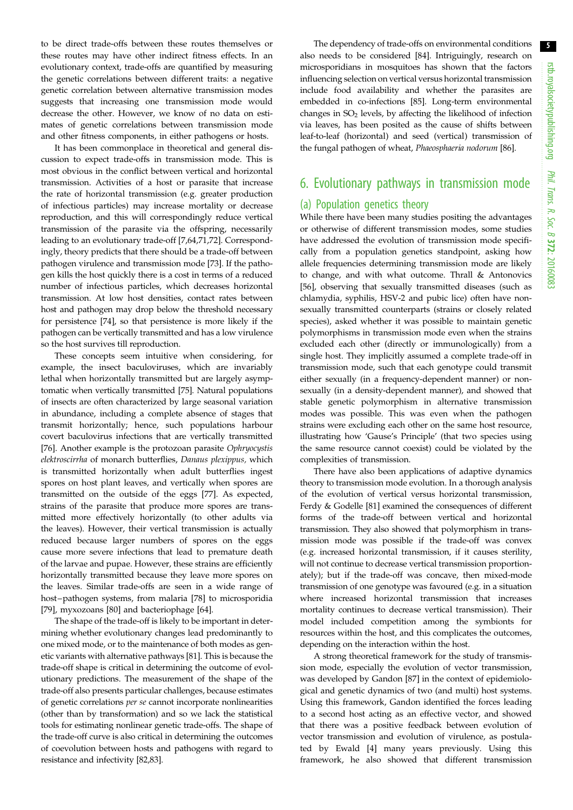to be direct trade-offs between these routes themselves or these routes may have other indirect fitness effects. In an evolutionary context, trade-offs are quantified by measuring the genetic correlations between different traits: a negative genetic correlation between alternative transmission modes suggests that increasing one transmission mode would decrease the other. However, we know of no data on estimates of genetic correlations between transmission mode and other fitness components, in either pathogens or hosts.

It has been commonplace in theoretical and general discussion to expect trade-offs in transmission mode. This is most obvious in the conflict between vertical and horizontal transmission. Activities of a host or parasite that increase the rate of horizontal transmission (e.g. greater production of infectious particles) may increase mortality or decrease reproduction, and this will correspondingly reduce vertical transmission of the parasite via the offspring, necessarily leading to an evolutionary trade-off [\[7,](#page-8-0)[64,71,72](#page-10-0)]. Correspondingly, theory predicts that there should be a trade-off between pathogen virulence and transmission mode [\[73](#page-10-0)]. If the pathogen kills the host quickly there is a cost in terms of a reduced number of infectious particles, which decreases horizontal transmission. At low host densities, contact rates between host and pathogen may drop below the threshold necessary for persistence [\[74](#page-10-0)], so that persistence is more likely if the pathogen can be vertically transmitted and has a low virulence so the host survives till reproduction.

These concepts seem intuitive when considering, for example, the insect baculoviruses, which are invariably lethal when horizontally transmitted but are largely asymptomatic when vertically transmitted [\[75\]](#page-10-0). Natural populations of insects are often characterized by large seasonal variation in abundance, including a complete absence of stages that transmit horizontally; hence, such populations harbour covert baculovirus infections that are vertically transmitted [\[76](#page-10-0)]. Another example is the protozoan parasite Ophryocystis elektroscirrha of monarch butterflies, Danaus plexippus, which is transmitted horizontally when adult butterflies ingest spores on host plant leaves, and vertically when spores are transmitted on the outside of the eggs [\[77](#page-10-0)]. As expected, strains of the parasite that produce more spores are transmitted more effectively horizontally (to other adults via the leaves). However, their vertical transmission is actually reduced because larger numbers of spores on the eggs cause more severe infections that lead to premature death of the larvae and pupae. However, these strains are efficiently horizontally transmitted because they leave more spores on the leaves. Similar trade-offs are seen in a wide range of host –pathogen systems, from malaria [[78\]](#page-10-0) to microsporidia [\[79](#page-10-0)], myxozoans [\[80\]](#page-10-0) and bacteriophage [[64\]](#page-10-0).

The shape of the trade-off is likely to be important in determining whether evolutionary changes lead predominantly to one mixed mode, or to the maintenance of both modes as genetic variants with alternative pathways [\[81](#page-10-0)]. This is because the trade-off shape is critical in determining the outcome of evolutionary predictions. The measurement of the shape of the trade-off also presents particular challenges, because estimates of genetic correlations per se cannot incorporate nonlinearities (other than by transformation) and so we lack the statistical tools for estimating nonlinear genetic trade-offs. The shape of the trade-off curve is also critical in determining the outcomes of coevolution between hosts and pathogens with regard to resistance and infectivity [[82,83\]](#page-10-0).

The dependency of trade-offs on environmental conditions also needs to be considered [\[84](#page-10-0)]. Intriguingly, research on microsporidians in mosquitoes has shown that the factors influencing selection on vertical versus horizontal transmission include food availability and whether the parasites are embedded in co-infections [\[85](#page-10-0)]. Long-term environmental changes in  $SO<sub>2</sub>$  levels, by affecting the likelihood of infection via leaves, has been posited as the cause of shifts between leaf-to-leaf (horizontal) and seed (vertical) transmission of the fungal pathogen of wheat, Phaeosphaeria nodorum [[86](#page-10-0)].

# 6. Evolutionary pathways in transmission mode

#### (a) Population genetics theory

While there have been many studies positing the advantages or otherwise of different transmission modes, some studies have addressed the evolution of transmission mode specifically from a population genetics standpoint, asking how allele frequencies determining transmission mode are likely to change, and with what outcome. Thrall & Antonovics [[56\]](#page-9-0), observing that sexually transmitted diseases (such as chlamydia, syphilis, HSV-2 and pubic lice) often have nonsexually transmitted counterparts (strains or closely related species), asked whether it was possible to maintain genetic polymorphisms in transmission mode even when the strains excluded each other (directly or immunologically) from a single host. They implicitly assumed a complete trade-off in transmission mode, such that each genotype could transmit either sexually (in a frequency-dependent manner) or nonsexually (in a density-dependent manner), and showed that stable genetic polymorphism in alternative transmission modes was possible. This was even when the pathogen strains were excluding each other on the same host resource, illustrating how 'Gause's Principle' (that two species using the same resource cannot coexist) could be violated by the complexities of transmission.

There have also been applications of adaptive dynamics theory to transmission mode evolution. In a thorough analysis of the evolution of vertical versus horizontal transmission, Ferdy & Godelle [\[81\]](#page-10-0) examined the consequences of different forms of the trade-off between vertical and horizontal transmission. They also showed that polymorphism in transmission mode was possible if the trade-off was convex (e.g. increased horizontal transmission, if it causes sterility, will not continue to decrease vertical transmission proportionately); but if the trade-off was concave, then mixed-mode transmission of one genotype was favoured (e.g. in a situation where increased horizontal transmission that increases mortality continues to decrease vertical transmission). Their model included competition among the symbionts for resources within the host, and this complicates the outcomes, depending on the interaction within the host.

A strong theoretical framework for the study of transmission mode, especially the evolution of vector transmission, was developed by Gandon [\[87](#page-10-0)] in the context of epidemiological and genetic dynamics of two (and multi) host systems. Using this framework, Gandon identified the forces leading to a second host acting as an effective vector, and showed that there was a positive feedback between evolution of vector transmission and evolution of virulence, as postulated by Ewald [\[4\]](#page-8-0) many years previously. Using this framework, he also showed that different transmission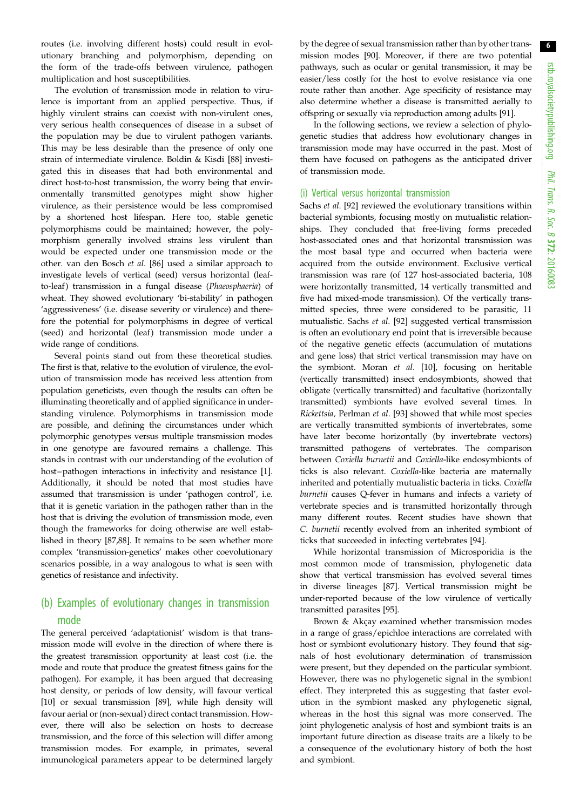routes (i.e. involving different hosts) could result in evolutionary branching and polymorphism, depending on the form of the trade-offs between virulence, pathogen multiplication and host susceptibilities.

The evolution of transmission mode in relation to virulence is important from an applied perspective. Thus, if highly virulent strains can coexist with non-virulent ones, very serious health consequences of disease in a subset of the population may be due to virulent pathogen variants. This may be less desirable than the presence of only one strain of intermediate virulence. Boldin & Kisdi [[88\]](#page-10-0) investigated this in diseases that had both environmental and direct host-to-host transmission, the worry being that environmentally transmitted genotypes might show higher virulence, as their persistence would be less compromised by a shortened host lifespan. Here too, stable genetic polymorphisms could be maintained; however, the polymorphism generally involved strains less virulent than would be expected under one transmission mode or the other. van den Bosch et al. [\[86](#page-10-0)] used a similar approach to investigate levels of vertical (seed) versus horizontal (leafto-leaf) transmission in a fungal disease (Phaeosphaeria) of wheat. They showed evolutionary 'bi-stability' in pathogen 'aggressiveness' (i.e. disease severity or virulence) and therefore the potential for polymorphisms in degree of vertical (seed) and horizontal (leaf) transmission mode under a wide range of conditions.

Several points stand out from these theoretical studies. The first is that, relative to the evolution of virulence, the evolution of transmission mode has received less attention from population geneticists, even though the results can often be illuminating theoretically and of applied significance in understanding virulence. Polymorphisms in transmission mode are possible, and defining the circumstances under which polymorphic genotypes versus multiple transmission modes in one genotype are favoured remains a challenge. This stands in contrast with our understanding of the evolution of host-pathogen interactions in infectivity and resistance [[1](#page-8-0)]. Additionally, it should be noted that most studies have assumed that transmission is under 'pathogen control', i.e. that it is genetic variation in the pathogen rather than in the host that is driving the evolution of transmission mode, even though the frameworks for doing otherwise are well established in theory [[87,88\]](#page-10-0). It remains to be seen whether more complex 'transmission-genetics' makes other coevolutionary scenarios possible, in a way analogous to what is seen with genetics of resistance and infectivity.

### (b) Examples of evolutionary changes in transmission mode

The general perceived 'adaptationist' wisdom is that transmission mode will evolve in the direction of where there is the greatest transmission opportunity at least cost (i.e. the mode and route that produce the greatest fitness gains for the pathogen). For example, it has been argued that decreasing host density, or periods of low density, will favour vertical [\[10](#page-8-0)] or sexual transmission [\[89](#page-10-0)], while high density will favour aerial or (non-sexual) direct contact transmission. However, there will also be selection on hosts to decrease transmission, and the force of this selection will differ among transmission modes. For example, in primates, several immunological parameters appear to be determined largely

by the degree of sexual transmission rather than by other transmission modes [\[90](#page-10-0)]. Moreover, if there are two potential pathways, such as ocular or genital transmission, it may be easier/less costly for the host to evolve resistance via one route rather than another. Age specificity of resistance may also determine whether a disease is transmitted aerially to offspring or sexually via reproduction among adults [[91\]](#page-10-0).

In the following sections, we review a selection of phylogenetic studies that address how evolutionary changes in transmission mode may have occurred in the past. Most of them have focused on pathogens as the anticipated driver of transmission mode.

#### (i) Vertical versus horizontal transmission

Sachs et al. [\[92](#page-10-0)] reviewed the evolutionary transitions within bacterial symbionts, focusing mostly on mutualistic relationships. They concluded that free-living forms preceded host-associated ones and that horizontal transmission was the most basal type and occurred when bacteria were acquired from the outside environment. Exclusive vertical transmission was rare (of 127 host-associated bacteria, 108 were horizontally transmitted, 14 vertically transmitted and five had mixed-mode transmission). Of the vertically transmitted species, three were considered to be parasitic, 11 mutualistic. Sachs et al. [[92\]](#page-10-0) suggested vertical transmission is often an evolutionary end point that is irreversible because of the negative genetic effects (accumulation of mutations and gene loss) that strict vertical transmission may have on the symbiont. Moran et al. [[10\]](#page-8-0), focusing on heritable (vertically transmitted) insect endosymbionts, showed that obligate (vertically transmitted) and facultative (horizontally transmitted) symbionts have evolved several times. In Rickettsia, Perlman et al. [[93](#page-10-0)] showed that while most species are vertically transmitted symbionts of invertebrates, some have later become horizontally (by invertebrate vectors) transmitted pathogens of vertebrates. The comparison between Coxiella burnetii and Coxiella-like endosymbionts of ticks is also relevant. Coxiella-like bacteria are maternally inherited and potentially mutualistic bacteria in ticks. Coxiella burnetii causes Q-fever in humans and infects a variety of vertebrate species and is transmitted horizontally through many different routes. Recent studies have shown that C. burnetii recently evolved from an inherited symbiont of ticks that succeeded in infecting vertebrates [\[94](#page-10-0)].

While horizontal transmission of Microsporidia is the most common mode of transmission, phylogenetic data show that vertical transmission has evolved several times in diverse lineages [\[87](#page-10-0)]. Vertical transmission might be under-reported because of the low virulence of vertically transmitted parasites [[95\]](#page-10-0).

Brown & Akçay examined whether transmission modes in a range of grass/epichloe interactions are correlated with host or symbiont evolutionary history. They found that signals of host evolutionary determination of transmission were present, but they depended on the particular symbiont. However, there was no phylogenetic signal in the symbiont effect. They interpreted this as suggesting that faster evolution in the symbiont masked any phylogenetic signal, whereas in the host this signal was more conserved. The joint phylogenetic analysis of host and symbiont traits is an important future direction as disease traits are a likely to be a consequence of the evolutionary history of both the host and symbiont.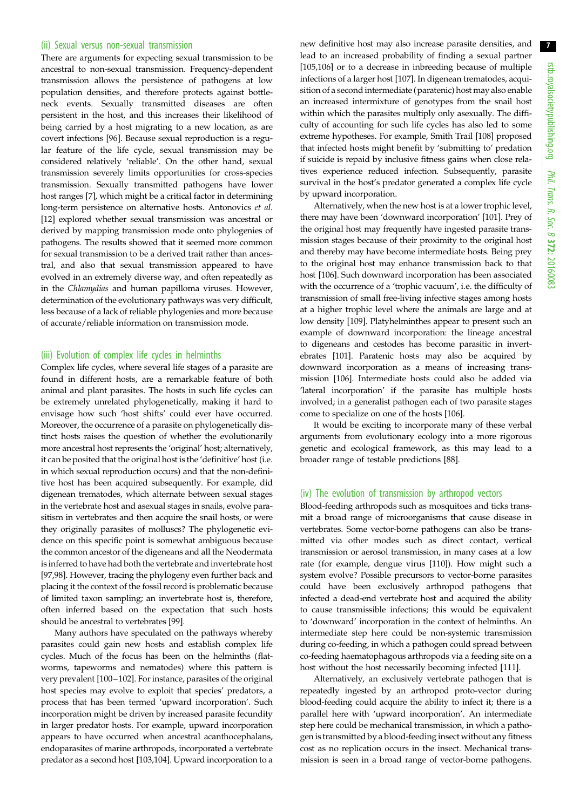#### (ii) Sexual versus non-sexual transmission

There are arguments for expecting sexual transmission to be ancestral to non-sexual transmission. Frequency-dependent transmission allows the persistence of pathogens at low population densities, and therefore protects against bottleneck events. Sexually transmitted diseases are often persistent in the host, and this increases their likelihood of being carried by a host migrating to a new location, as are covert infections [\[96](#page-10-0)]. Because sexual reproduction is a regular feature of the life cycle, sexual transmission may be considered relatively 'reliable'. On the other hand, sexual transmission severely limits opportunities for cross-species transmission. Sexually transmitted pathogens have lower host ranges [[7](#page-8-0)], which might be a critical factor in determining long-term persistence on alternative hosts. Antonovics et al. [\[12](#page-8-0)] explored whether sexual transmission was ancestral or derived by mapping transmission mode onto phylogenies of pathogens. The results showed that it seemed more common for sexual transmission to be a derived trait rather than ancestral, and also that sexual transmission appeared to have evolved in an extremely diverse way, and often repeatedly as in the Chlamydias and human papilloma viruses. However, determination of the evolutionary pathways was very difficult, less because of a lack of reliable phylogenies and more because of accurate/reliable information on transmission mode.

#### (iii) Evolution of complex life cycles in helminths

Complex life cycles, where several life stages of a parasite are found in different hosts, are a remarkable feature of both animal and plant parasites. The hosts in such life cycles can be extremely unrelated phylogenetically, making it hard to envisage how such 'host shifts' could ever have occurred. Moreover, the occurrence of a parasite on phylogenetically distinct hosts raises the question of whether the evolutionarily more ancestral host represents the 'original' host; alternatively, it can be posited that the original host is the 'definitive' host (i.e. in which sexual reproduction occurs) and that the non-definitive host has been acquired subsequently. For example, did digenean trematodes, which alternate between sexual stages in the vertebrate host and asexual stages in snails, evolve parasitism in vertebrates and then acquire the snail hosts, or were they originally parasites of molluscs? The phylogenetic evidence on this specific point is somewhat ambiguous because the common ancestor of the digeneans and all the Neodermata is inferred to have had both the vertebrate and invertebrate host [\[97,98](#page-10-0)]. However, tracing the phylogeny even further back and placing it the context of the fossil record is problematic because of limited taxon sampling; an invertebrate host is, therefore, often inferred based on the expectation that such hosts should be ancestral to vertebrates [\[99](#page-10-0)].

Many authors have speculated on the pathways whereby parasites could gain new hosts and establish complex life cycles. Much of the focus has been on the helminths (flatworms, tapeworms and nematodes) where this pattern is very prevalent [[100](#page-10-0)–[102\]](#page-10-0). For instance, parasites of the original host species may evolve to exploit that species' predators, a process that has been termed 'upward incorporation'. Such incorporation might be driven by increased parasite fecundity in larger predator hosts. For example, upward incorporation appears to have occurred when ancestral acanthocephalans, endoparasites of marine arthropods, incorporated a vertebrate predator as a second host [[103,104](#page-10-0)]. Upward incorporation to a new definitive host may also increase parasite densities, and lead to an increased probability of finding a sexual partner [[105,106\]](#page-10-0) or to a decrease in inbreeding because of multiple infections of a larger host [[107\]](#page-10-0). In digenean trematodes, acquisition of a second intermediate (paratenic) host may also enable an increased intermixture of genotypes from the snail host within which the parasites multiply only asexually. The difficulty of accounting for such life cycles has also led to some extreme hypotheses. For example, Smith Trail [[108](#page-10-0)] proposed that infected hosts might benefit by 'submitting to' predation if suicide is repaid by inclusive fitness gains when close relatives experience reduced infection. Subsequently, parasite survival in the host's predator generated a complex life cycle by upward incorporation.

Alternatively, when the new host is at a lower trophic level, there may have been 'downward incorporation' [\[101](#page-10-0)]. Prey of the original host may frequently have ingested parasite transmission stages because of their proximity to the original host and thereby may have become intermediate hosts. Being prey to the original host may enhance transmission back to that host [[106](#page-10-0)]. Such downward incorporation has been associated with the occurrence of a 'trophic vacuum', i.e. the difficulty of transmission of small free-living infective stages among hosts at a higher trophic level where the animals are large and at low density [[109\]](#page-11-0). Platyhelminthes appear to present such an example of downward incorporation: the lineage ancestral to digeneans and cestodes has become parasitic in invertebrates [\[101\]](#page-10-0). Paratenic hosts may also be acquired by downward incorporation as a means of increasing transmission [\[106\]](#page-10-0). Intermediate hosts could also be added via 'lateral incorporation' if the parasite has multiple hosts involved; in a generalist pathogen each of two parasite stages come to specialize on one of the hosts [[106](#page-10-0)].

It would be exciting to incorporate many of these verbal arguments from evolutionary ecology into a more rigorous genetic and ecological framework, as this may lead to a broader range of testable predictions [\[88](#page-10-0)].

#### (iv) The evolution of transmission by arthropod vectors

Blood-feeding arthropods such as mosquitoes and ticks transmit a broad range of microorganisms that cause disease in vertebrates. Some vector-borne pathogens can also be transmitted via other modes such as direct contact, vertical transmission or aerosol transmission, in many cases at a low rate (for example, dengue virus [\[110](#page-11-0)]). How might such a system evolve? Possible precursors to vector-borne parasites could have been exclusively arthropod pathogens that infected a dead-end vertebrate host and acquired the ability to cause transmissible infections; this would be equivalent to 'downward' incorporation in the context of helminths. An intermediate step here could be non-systemic transmission during co-feeding, in which a pathogen could spread between co-feeding haematophagous arthropods via a feeding site on a host without the host necessarily becoming infected [[111](#page-11-0)].

Alternatively, an exclusively vertebrate pathogen that is repeatedly ingested by an arthropod proto-vector during blood-feeding could acquire the ability to infect it; there is a parallel here with 'upward incorporation'. An intermediate step here could be mechanical transmission, in which a pathogen is transmitted by a blood-feeding insect without any fitness cost as no replication occurs in the insect. Mechanical transmission is seen in a broad range of vector-borne pathogens.

7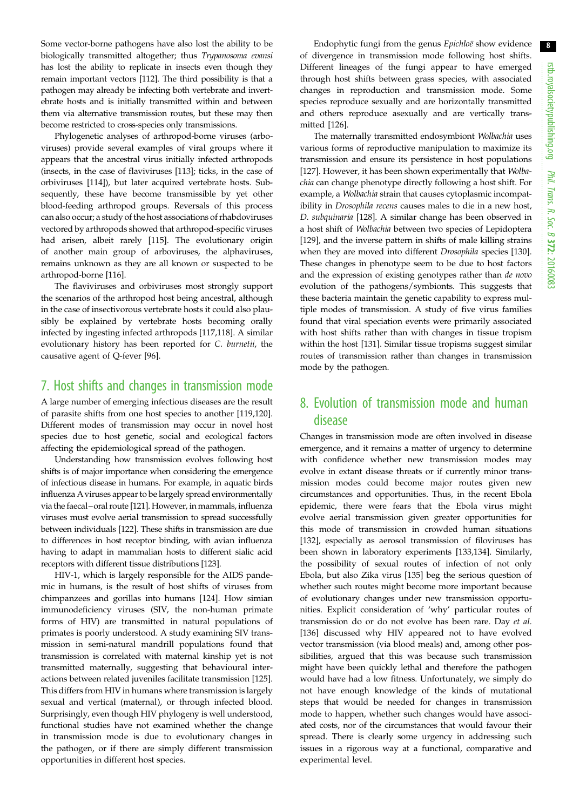Some vector-borne pathogens have also lost the ability to be biologically transmitted altogether; thus Trypanosoma evansi has lost the ability to replicate in insects even though they remain important vectors [[112\]](#page-11-0). The third possibility is that a pathogen may already be infecting both vertebrate and invertebrate hosts and is initially transmitted within and between them via alternative transmission routes, but these may then become restricted to cross-species only transmissions.

Phylogenetic analyses of arthropod-borne viruses (arboviruses) provide several examples of viral groups where it appears that the ancestral virus initially infected arthropods (insects, in the case of flaviviruses [[113](#page-11-0)]; ticks, in the case of orbiviruses [\[114\]](#page-11-0)), but later acquired vertebrate hosts. Subsequently, these have become transmissible by yet other blood-feeding arthropod groups. Reversals of this process can also occur; a study of the host associations of rhabdoviruses vectored by arthropods showed that arthropod-specific viruses had arisen, albeit rarely [\[115](#page-11-0)]. The evolutionary origin of another main group of arboviruses, the alphaviruses, remains unknown as they are all known or suspected to be arthropod-borne [[116\]](#page-11-0).

The flaviviruses and orbiviruses most strongly support the scenarios of the arthropod host being ancestral, although in the case of insectivorous vertebrate hosts it could also plausibly be explained by vertebrate hosts becoming orally infected by ingesting infected arthropods [\[117](#page-11-0),[118](#page-11-0)]. A similar evolutionary history has been reported for C. burnetii, the causative agent of Q-fever [[96\]](#page-10-0).

### 7. Host shifts and changes in transmission mode

A large number of emerging infectious diseases are the result of parasite shifts from one host species to another [\[119,120](#page-11-0)]. Different modes of transmission may occur in novel host species due to host genetic, social and ecological factors affecting the epidemiological spread of the pathogen.

Understanding how transmission evolves following host shifts is of major importance when considering the emergence of infectious disease in humans. For example, in aquatic birds influenza Aviruses appear to be largely spread environmentally via the faecal–oral route [\[121](#page-11-0)]. However, in mammals, influenza viruses must evolve aerial transmission to spread successfully between individuals [[122\]](#page-11-0). These shifts in transmission are due to differences in host receptor binding, with avian influenza having to adapt in mammalian hosts to different sialic acid receptors with different tissue distributions [[123](#page-11-0)].

HIV-1, which is largely responsible for the AIDS pandemic in humans, is the result of host shifts of viruses from chimpanzees and gorillas into humans [\[124\]](#page-11-0). How simian immunodeficiency viruses (SIV, the non-human primate forms of HIV) are transmitted in natural populations of primates is poorly understood. A study examining SIV transmission in semi-natural mandrill populations found that transmission is correlated with maternal kinship yet is not transmitted maternally, suggesting that behavioural interactions between related juveniles facilitate transmission [[125](#page-11-0)]. This differs from HIV in humans where transmission is largely sexual and vertical (maternal), or through infected blood. Surprisingly, even though HIV phylogeny is well understood, functional studies have not examined whether the change in transmission mode is due to evolutionary changes in the pathogen, or if there are simply different transmission opportunities in different host species.

Endophytic fungi from the genus Epichloë show evidence of divergence in transmission mode following host shifts. Different lineages of the fungi appear to have emerged through host shifts between grass species, with associated changes in reproduction and transmission mode. Some species reproduce sexually and are horizontally transmitted and others reproduce asexually and are vertically transmitted [[126](#page-11-0)].

The maternally transmitted endosymbiont Wolbachia uses various forms of reproductive manipulation to maximize its transmission and ensure its persistence in host populations [[127](#page-11-0)]. However, it has been shown experimentally that Wolbachia can change phenotype directly following a host shift. For example, a Wolbachia strain that causes cytoplasmic incompatibility in Drosophila recens causes males to die in a new host, D. subquinaria [\[128\]](#page-11-0). A similar change has been observed in a host shift of Wolbachia between two species of Lepidoptera [[129](#page-11-0)], and the inverse pattern in shifts of male killing strains when they are moved into different Drosophila species [\[130\]](#page-11-0). These changes in phenotype seem to be due to host factors and the expression of existing genotypes rather than de novo evolution of the pathogens/symbionts. This suggests that these bacteria maintain the genetic capability to express multiple modes of transmission. A study of five virus families found that viral speciation events were primarily associated with host shifts rather than with changes in tissue tropism within the host [\[131\]](#page-11-0). Similar tissue tropisms suggest similar routes of transmission rather than changes in transmission mode by the pathogen.

### 8. Evolution of transmission mode and human disease

Changes in transmission mode are often involved in disease emergence, and it remains a matter of urgency to determine with confidence whether new transmission modes may evolve in extant disease threats or if currently minor transmission modes could become major routes given new circumstances and opportunities. Thus, in the recent Ebola epidemic, there were fears that the Ebola virus might evolve aerial transmission given greater opportunities for this mode of transmission in crowded human situations [[132](#page-11-0)], especially as aerosol transmission of filoviruses has been shown in laboratory experiments [[133,134\]](#page-11-0). Similarly, the possibility of sexual routes of infection of not only Ebola, but also Zika virus [\[135\]](#page-11-0) beg the serious question of whether such routes might become more important because of evolutionary changes under new transmission opportunities. Explicit consideration of 'why' particular routes of transmission do or do not evolve has been rare. Day et al. [[136](#page-11-0)] discussed why HIV appeared not to have evolved vector transmission (via blood meals) and, among other possibilities, argued that this was because such transmission might have been quickly lethal and therefore the pathogen would have had a low fitness. Unfortunately, we simply do not have enough knowledge of the kinds of mutational steps that would be needed for changes in transmission mode to happen, whether such changes would have associated costs, nor of the circumstances that would favour their spread. There is clearly some urgency in addressing such issues in a rigorous way at a functional, comparative and experimental level.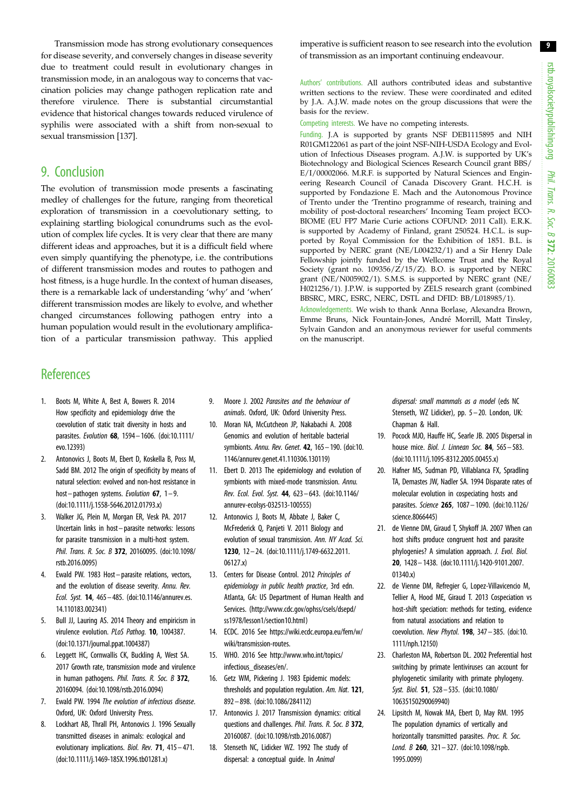<span id="page-8-0"></span>Transmission mode has strong evolutionary consequences for disease severity, and conversely changes in disease severity due to treatment could result in evolutionary changes in transmission mode, in an analogous way to concerns that vaccination policies may change pathogen replication rate and therefore virulence. There is substantial circumstantial evidence that historical changes towards reduced virulence of syphilis were associated with a shift from non-sexual to sexual transmission [\[137\]](#page-11-0).

### 9. Conclusion

The evolution of transmission mode presents a fascinating medley of challenges for the future, ranging from theoretical exploration of transmission in a coevolutionary setting, to explaining startling biological conundrums such as the evolution of complex life cycles. It is very clear that there are many different ideas and approaches, but it is a difficult field where even simply quantifying the phenotype, i.e. the contributions of different transmission modes and routes to pathogen and host fitness, is a huge hurdle. In the context of human diseases, there is a remarkable lack of understanding 'why' and 'when' different transmission modes are likely to evolve, and whether changed circumstances following pathogen entry into a human population would result in the evolutionary amplification of a particular transmission pathway. This applied

# **References**

- 1. Boots M, White A, Best A, Bowers R. 2014 How specificity and epidemiology drive the coevolution of static trait diversity in hosts and parasites. Evolution 68, 1594– 1606. ([doi:10.1111/](http://dx.doi.org/10.1111/evo.12393) [evo.12393](http://dx.doi.org/10.1111/evo.12393))
- 2. Antonovics J, Boots M, Ebert D, Koskella B, Poss M, Sadd BM. 2012 The origin of specificity by means of natural selection: evolved and non-host resistance in host–pathogen systems. Evolution 67,  $1-9$ . [\(doi:10.1111/j.1558-5646.2012.01793.x](http://dx.doi.org/10.1111/j.1558-5646.2012.01793.x))
- 3. Walker JG, Plein M, Morgan ER, Vesk PA. 2017 Uncertain links in host– parasite networks: lessons for parasite transmission in a multi-host system. Phil. Trans. R. Soc. B 372, 20160095. ([doi:10.1098/](http://dx.doi.org/10.1098/rstb.2016.0095) [rstb.2016.0095\)](http://dx.doi.org/10.1098/rstb.2016.0095)
- 4. Ewald PW. 1983 Host– parasite relations, vectors, and the evolution of disease severity. Annu. Rev. Ecol. Syst. 14, 465– 485. ([doi:10.1146/annurev.es.](http://dx.doi.org/10.1146/annurev.es.14.110183.002341) [14.110183.002341\)](http://dx.doi.org/10.1146/annurev.es.14.110183.002341)
- 5. Bull JJ, Lauring AS. 2014 Theory and empiricism in virulence evolution. PLoS Pathog. 10, 1004387. [\(doi:10.1371/journal.ppat.1004387](http://dx.doi.org/10.1371/journal.ppat.1004387))
- 6. Leggett HC, Cornwallis CK, Buckling A, West SA. 2017 Growth rate, transmission mode and virulence in human pathogens. *Phil. Trans. R. Soc. B* 372. 20160094. [\(doi:10.1098/rstb.2016.0094](http://dx.doi.org/10.1098/rstb.2016.0094))
- 7. Ewald PW. 1994 The evolution of infectious disease. Oxford, UK: Oxford University Press.
- 8. Lockhart AB, Thrall PH, Antonovics J. 1996 Sexually transmitted diseases in animals: ecological and evolutionary implications. Biol. Rev. 71, 415 – 471. [\(doi:10.1111/j.1469-185X.1996.tb01281.x](http://dx.doi.org/10.1111/j.1469-185X.1996.tb01281.x))
- 9. Moore J. 2002 Parasites and the behaviour of animals. Oxford, UK: Oxford University Press.
- 10. Moran NA, McCutcheon JP, Nakabachi A. 2008 Genomics and evolution of heritable bacterial symbionts. Annu. Rev. Genet. 42, 165– 190. [\(doi:10.](http://dx.doi.org/10.1146/annurev.genet.41.110306.130119) [1146/annurev.genet.41.110306.130119\)](http://dx.doi.org/10.1146/annurev.genet.41.110306.130119)
- 11. Ebert D. 2013 The epidemiology and evolution of symbionts with mixed-mode transmission. Annu. Rev. Ecol. Evol. Syst. 44, 623– 643. [\(doi:10.1146/](http://dx.doi.org/10.1146/annurev-ecolsys-032513-100555) [annurev-ecolsys-032513-100555](http://dx.doi.org/10.1146/annurev-ecolsys-032513-100555))
- 12. Antonovics J, Boots M, Abbate J, Baker C, McFrederick Q, Panjeti V. 2011 Biology and evolution of sexual transmission. Ann. NY Acad. Sci. 1230, 12 – 24. [\(doi:10.1111/j.1749-6632.2011.](http://dx.doi.org/10.1111/j.1749-6632.2011.06127.x) [06127.x](http://dx.doi.org/10.1111/j.1749-6632.2011.06127.x))
- 13. Centers for Disease Control. 2012 Principles of epidemiology in public health practice, 3rd edn. Atlanta, GA: US Department of Human Health and Services. [\(http://www.cdc.gov/ophss/csels/dsepd/](http://www.cdc.gov/ophss/csels/dsepd/ss1978/lesson1/section10.html) [ss1978/lesson1/section10.html](http://www.cdc.gov/ophss/csels/dsepd/ss1978/lesson1/section10.html))
- 14. ECDC. 2016 See [https://wiki.ecdc.europa.eu/fem/w/](https://wiki.ecdc.europa.eu/fem/w/wiki/transmission-routes) [wiki/transmission-routes](https://wiki.ecdc.europa.eu/fem/w/wiki/transmission-routes).
- 15. WHO. 2016 See [http://www.who.int/topics/](http://www.who.int/topics/infectious_diseases/en/) [infectious\\_diseases/en/.](http://www.who.int/topics/infectious_diseases/en/)
- 16. Getz WM, Pickering J. 1983 Epidemic models: thresholds and population regulation. Am. Nat. 121, 892 – 898. [\(doi:10.1086/284112](http://dx.doi.org/10.1086/284112))
- 17. Antonovics J. 2017 Transmission dynamics: critical questions and challenges. Phil. Trans. R. Soc. B 372. 20160087. ([doi:10.1098/rstb.2016.0087](http://dx.doi.org/10.1098/rstb.2016.0087))
- 18. Stenseth NC, Lidicker WZ. 1992 The study of dispersal: a conceptual quide. In Animal

imperative is sufficient reason to see research into the evolution of transmission as an important continuing endeavour.

Authors' contributions. All authors contributed ideas and substantive written sections to the review. These were coordinated and edited by J.A. A.J.W. made notes on the group discussions that were the basis for the review.

Competing interests. We have no competing interests.

Funding. J.A is supported by grants NSF DEB1115895 and NIH R01GM122061 as part of the joint NSF-NIH-USDA Ecology and Evolution of Infectious Diseases program. A.J.W. is supported by UK's Biotechnology and Biological Sciences Research Council grant BBS/ E/I/00002066. M.R.F. is supported by Natural Sciences and Engineering Research Council of Canada Discovery Grant. H.C.H. is supported by Fondazione E. Mach and the Autonomous Province of Trento under the 'Trentino programme of research, training and mobility of post-doctoral researchers' Incoming Team project ECO-BIOME (EU FP7 Marie Curie actions COFUND: 2011 Call). E.R.K. is supported by Academy of Finland, grant 250524. H.C.L. is supported by Royal Commission for the Exhibition of 1851. B.L. is supported by NERC grant (NE/L004232/1) and a Sir Henry Dale Fellowship jointly funded by the Wellcome Trust and the Royal Society (grant no. 109356/Z/15/Z). B.O. is supported by NERC grant (NE/N005902/1). S.M.S. is supported by NERC grant (NE/ H021256/1). J.P.W. is supported by ZELS research grant (combined BBSRC, MRC, ESRC, NERC, DSTL and DFID: BB/L018985/1).

Acknowledgements. We wish to thank Anna Borlase, Alexandra Brown, Emme Bruns, Nick Fountain-Jones, Andre´ Morrill, Matt Tinsley, Sylvain Gandon and an anonymous reviewer for useful comments on the manuscript.

> dispersal: small mammals as a model (eds NC Stenseth, WZ Lidicker), pp. 5 – 20. London, UK: Chapman & Hall.

- 19. Pocock MJO, Hauffe HC, Searle JB. 2005 Dispersal in house mice. *Biol. J. Linnean Soc.* **84**, 565-583. ([doi:10.1111/j.1095-8312.2005.00455.x\)](http://dx.doi.org/10.1111/j.1095-8312.2005.00455.x)
- 20. Hafner MS, Sudman PD, Villablanca FX, Spradling TA, Demastes JW, Nadler SA. 1994 Disparate rates of molecular evolution in cospeciating hosts and parasites. Science 265, 1087 – 1090. ([doi:10.1126/](http://dx.doi.org/10.1126/science.8066445) [science.8066445](http://dx.doi.org/10.1126/science.8066445))
- 21. de Vienne DM, Giraud T, Shykoff JA. 2007 When can host shifts produce congruent host and parasite phylogenies? A simulation approach. J. Evol. Biol. 20, 1428– 1438. [\(doi:10.1111/j.1420-9101.2007.](http://dx.doi.org/10.1111/j.1420-9101.2007.01340.x) [01340.x](http://dx.doi.org/10.1111/j.1420-9101.2007.01340.x))
- 22. de Vienne DM, Refregier G, Lopez-Villavicencio M, Tellier A, Hood ME, Giraud T. 2013 Cospeciation vs host-shift speciation: methods for testing, evidence from natural associations and relation to coevolution. New Phytol. 198, 347 – 385. ([doi:10.](http://dx.doi.org/10.1111/nph.12150) [1111/nph.12150\)](http://dx.doi.org/10.1111/nph.12150)
- 23. Charleston MA, Robertson DL. 2002 Preferential host switching by primate lentiviruses can account for phylogenetic similarity with primate phylogeny. Syst. Biol. 51, 528– 535. [\(doi:10.1080/](http://dx.doi.org/10.1080/10635150290069940) [10635150290069940](http://dx.doi.org/10.1080/10635150290069940))
- 24. Lipsitch M, Nowak MA, Ebert D, May RM. 1995 The population dynamics of vertically and horizontally transmitted parasites. Proc. R. Soc. Lond. B 260, 321-327. [\(doi:10.1098/rspb.](http://dx.doi.org/10.1098/rspb.1995.0099) [1995.0099](http://dx.doi.org/10.1098/rspb.1995.0099))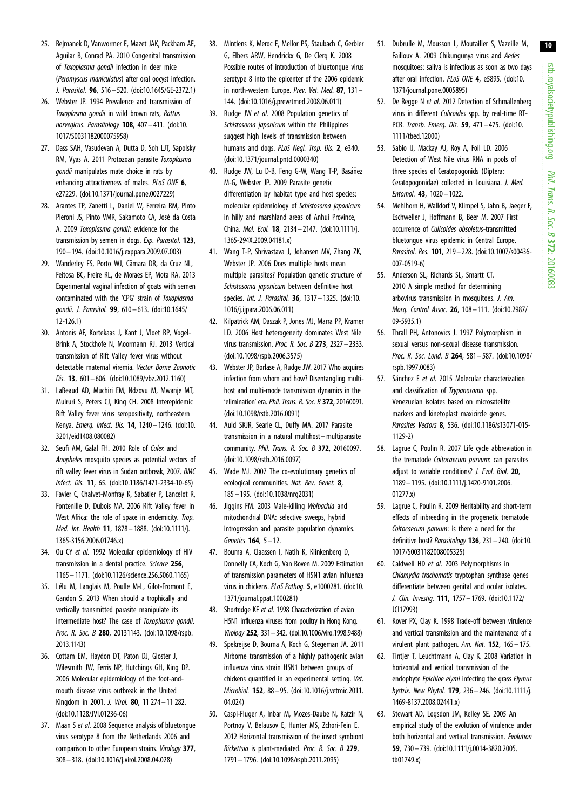- <span id="page-9-0"></span>25. Rejmanek D, Vanwormer E, Mazet JAK, Packham AE, Aguilar B, Conrad PA. 2010 Congenital transmission of Toxoplasma gondii infection in deer mice (Peromyscus maniculatus) after oral oocyst infection. J. Parasitol. 96, 516 – 520. [\(doi:10.1645/GE-2372.1\)](http://dx.doi.org/10.1645/GE-2372.1)
- 26. Webster JP. 1994 Prevalence and transmission of Toxoplasma gondii in wild brown rats, Rattus norvegicus. Parasitology 108, 407-411. [\(doi:10.](http://dx.doi.org/10.1017/S0031182000075958) [1017/S0031182000075958](http://dx.doi.org/10.1017/S0031182000075958))
- 27. Dass SAH, Vasudevan A, Dutta D, Soh LJT, Sapolsky RM, Vyas A. 2011 Protozoan parasite Toxoplasma gondii manipulates mate choice in rats by enhancing attractiveness of males. PLoS ONE 6, e27229. [\(doi:10.1371/journal.pone.0027229](http://dx.doi.org/10.1371/journal.pone.0027229))
- 28. Arantes TP, Zanetti L, Daniel W, Ferreira RM, Pinto Pieroni JS, Pinto VMR, Sakamoto CA, José da Costa A. 2009 Toxoplasma gondii: evidence for the transmission by semen in dogs. Exp. Parasitol. 123, 190– 194. ([doi:10.1016/j.exppara.2009.07.003](http://dx.doi.org/10.1016/j.exppara.2009.07.003))
- 29. Wanderley FS, Porto WJ, Câmara DR, da Cruz NL, Feitosa BC, Freire RL, de Moraes EP, Mota RA. 2013 Experimental vaginal infection of goats with semen contaminated with the 'CPG' strain of Toxoplasma gondii. J. Parasitol. 99, 610 – 613. ([doi:10.1645/](http://dx.doi.org/10.1645/12-126.1) [12-126.1](http://dx.doi.org/10.1645/12-126.1))
- 30. Antonis AF, Kortekaas J, Kant J, Vloet RP, Vogel-Brink A, Stockhofe N, Moormann RJ. 2013 Vertical transmission of Rift Valley fever virus without detectable maternal viremia. Vector Borne Zoonotic Dis. 13, 601– 606. [\(doi:10.1089/vbz.2012.1160\)](http://dx.doi.org/10.1089/vbz.2012.1160)
- 31. LaBeaud AD, Muchiri EM, Ndzovu M, Mwanje MT, Muiruri S, Peters CJ, King CH. 2008 Interepidemic Rift Valley fever virus seropositivity, northeastern Kenya. Emerg. Infect. Dis. 14, 1240– 1246. ([doi:10.](http://dx.doi.org/10.3201/eid1408.080082) [3201/eid1408.080082\)](http://dx.doi.org/10.3201/eid1408.080082)
- 32. Seufi AM, Galal FH. 2010 Role of Culex and Anopheles mosquito species as potential vectors of rift valley fever virus in Sudan outbreak, 2007. BMC Infect. Dis. 11, 65. [\(doi:10.1186/1471-2334-10-65](http://dx.doi.org/10.1186/1471-2334-10-65))
- 33. Favier C, Chalvet-Monfray K, Sabatier P, Lancelot R, Fontenille D, Dubois MA. 2006 Rift Valley fever in West Africa: the role of space in endemicity. Trop. Med. Int. Health 11, 1878– 1888. [\(doi:10.1111/j.](http://dx.doi.org/10.1111/j.1365-3156.2006.01746.x) [1365-3156.2006.01746.x\)](http://dx.doi.org/10.1111/j.1365-3156.2006.01746.x)
- 34. Ou CY et al. 1992 Molecular epidemiology of HIV transmission in a dental practice. Science 256, 1165 – 1171. [\(doi:10.1126/science.256.5060.1165](http://dx.doi.org/10.1126/science.256.5060.1165))
- 35. Lélu M. Langlais M. Poulle M-L, Gilot-Fromont F, Gandon S. 2013 When should a trophically and vertically transmitted parasite manipulate its intermediate host? The case of Toxoplasma gondii. Proc. R. Soc. B 280, 20131143. [\(doi:10.1098/rspb.](http://dx.doi.org/10.1098/rspb.2013.1143) [2013.1143\)](http://dx.doi.org/10.1098/rspb.2013.1143)
- 36. Cottam EM, Haydon DT, Paton DJ, Gloster J, Wilesmith JW, Ferris NP, Hutchings GH, King DP. 2006 Molecular epidemiology of the foot-andmouth disease virus outbreak in the United Kingdom in 2001. J. Virol. 80, 11 274– 11 282. [\(doi:10.1128/JVI.01236-06\)](http://dx.doi.org/10.1128/JVI.01236-06)
- 37. Maan S et al. 2008 Sequence analysis of bluetonque virus serotype 8 from the Netherlands 2006 and comparison to other European strains. Virology 377, 308– 318. ([doi:10.1016/j.virol.2008.04.028\)](http://dx.doi.org/10.1016/j.virol.2008.04.028)
- 38. Mintiens K, Meroc E, Mellor PS, Staubach C, Gerbier G, Elbers ARW, Hendrickx G, De Clerq K. 2008 Possible routes of introduction of bluetongue virus serotype 8 into the epicenter of the 2006 epidemic in north-western Europe. Prev. Vet. Med. 87, 131– 144. ([doi:10.1016/j.prevetmed.2008.06.011\)](http://dx.doi.org/10.1016/j.prevetmed.2008.06.011)
- 39. Rudge JW et al. 2008 Population genetics of Schistosoma japonicum within the Philippines suggest high levels of transmission between humans and dogs. PLoS Negl. Trop. Dis. 2, e340. [\(doi:10.1371/journal.pntd.0000340\)](http://dx.doi.org/10.1371/journal.pntd.0000340)
- 40. Rudge JW, Lu D-B, Feng G-W, Wang T-P, Basáñez M-G, Webster JP. 2009 Parasite genetic differentiation by habitat type and host species: molecular epidemiology of Schistosoma japonicum in hilly and marshland areas of Anhui Province, China. Mol. Ecol. 18, 2134 – 2147. [\(doi:10.1111/j.](http://dx.doi.org/10.1111/j.1365-294X.2009.04181.x) [1365-294X.2009.04181.x\)](http://dx.doi.org/10.1111/j.1365-294X.2009.04181.x)
- 41. Wang T-P, Shrivastava J, Johansen MV, Zhang ZK, Webster JP. 2006 Does multiple hosts mean multiple parasites? Population genetic structure of Schistosoma japonicum between definitive host species. *Int. J. Parasitol.* **36**, 1317 - 1325. [\(doi:10.](http://dx.doi.org/10.1016/j.ijpara.2006.06.011) [1016/j.ijpara.2006.06.011\)](http://dx.doi.org/10.1016/j.ijpara.2006.06.011)
- 42. Kilpatrick AM, Daszak P, Jones MJ, Marra PP, Kramer LD. 2006 Host heterogeneity dominates West Nile virus transmission. Proc. R. Soc. B 273, 2327 – 2333. [\(doi:10.1098/rspb.2006.3575\)](http://dx.doi.org/10.1098/rspb.2006.3575)
- 43. Webster JP, Borlase A, Rudge JW. 2017 Who acquires infection from whom and how? Disentangling multihost and multi-mode transmission dynamics in the 'elimination' era. Phil. Trans. R. Soc. B 372, 20160091. [\(doi:10.1098/rstb.2016.0091](http://dx.doi.org/10.1098/rstb.2016.0091))
- 44. Auld SKJR, Searle CL, Duffy MA. 2017 Parasite transmission in a natural multihost –multiparasite community. Phil. Trans. R. Soc. B 372, 20160097. [\(doi:10.1098/rstb.2016.0097](http://dx.doi.org/10.1098/rstb.2016.0097))
- 45. Wade MJ. 2007 The co-evolutionary genetics of ecological communities. Nat. Rev. Genet. 8, 185 – 195. [\(doi:10.1038/nrg2031\)](http://dx.doi.org/10.1038/nrg2031)
- 46. Jiggins FM. 2003 Male-killing Wolbachia and mitochondrial DNA: selective sweeps, hybrid introgression and parasite population dynamics. Genetics 164, 5– 12.
- 47. Bouma A, Claassen I, Natih K, Klinkenberg D, Donnelly CA, Koch G, Van Boven M. 2009 Estimation of transmission parameters of H5N1 avian influenza virus in chickens. PLoS Pathog. 5, e1000281. [\(doi:10.](http://dx.doi.org/10.1371/journal.ppat.1000281) [1371/journal.ppat.1000281](http://dx.doi.org/10.1371/journal.ppat.1000281))
- 48. Shortridge KF et al. 1998 Characterization of avian H5N1 influenza viruses from poultry in Hong Kong. Virology 252, 331–342. [\(doi:10.1006/viro.1998.9488](http://dx.doi.org/10.1006/viro.1998.9488))
- 49. Spekreijse D, Bouma A, Koch G, Stegeman JA. 2011 Airborne transmission of a highly pathogenic avian influenza virus strain H5N1 between groups of chickens quantified in an experimental setting. Vet. Microbiol. **152**, 88-95. (doi:10.1016/i.vetmic.2011. [04.024](http://dx.doi.org/10.1016/j.vetmic.2011.04.024))
- 50. Caspi-Fluger A, Inbar M, Mozes-Daube N, Katzir N, Portnoy V, Belausov E, Hunter MS, Zchori-Fein E. 2012 Horizontal transmission of the insect symbiont Rickettsia is plant-mediated. Proc. R. Soc. B 279, 1791– 1796. [\(doi:10.1098/rspb.2011.2095\)](http://dx.doi.org/10.1098/rspb.2011.2095)
- 51. Dubrulle M, Mousson L, Moutailler S, Vazeille M, Failloux A. 2009 Chikungunya virus and Aedes mosquitoes: saliva is infectious as soon as two days after oral infection. PLoS ONE 4, e5895. [\(doi:10.](http://dx.doi.org/10.1371/journal.pone.0005895) [1371/journal.pone.0005895](http://dx.doi.org/10.1371/journal.pone.0005895))
- 52. De Regge N et al. 2012 Detection of Schmallenberg virus in different Culicoides spp. by real-time RT-PCR. Transb. Emerg. Dis. 59, 471 – 475. [\(doi:10.](http://dx.doi.org/10.1111/tbed.12000) [1111/tbed.12000\)](http://dx.doi.org/10.1111/tbed.12000)
- 53. Sabio IJ, Mackay AJ, Roy A, Foil LD. 2006 Detection of West Nile virus RNA in pools of three species of Ceratopogonids (Diptera: Ceratopogonidae) collected in Louisiana. J. Med. Entomol. 43, 1020 – 1022.
- 54. Mehlhorn H, Walldorf V, Klimpel S, Jahn B, Jaeger F, Eschweller J, Hoffmann B, Beer M. 2007 First occurrence of Culicoides obsoletus-transmitted bluetongue virus epidemic in Central Europe. Parasitol. Res. 101, 219– 228. [\(doi:10.1007/s00436-](http://dx.doi.org/10.1007/s00436-007-0519-6) [007-0519-6\)](http://dx.doi.org/10.1007/s00436-007-0519-6)
- 55. Anderson SL, Richards SL, Smartt CT. 2010 A simple method for determining arbovirus transmission in mosquitoes. J. Am. Mosq. Control Assoc. 26, 108– 111. ([doi:10.2987/](http://dx.doi.org/10.2987/09-5935.1) [09-5935.1](http://dx.doi.org/10.2987/09-5935.1))
- 56. Thrall PH, Antonovics J. 1997 Polymorphism in sexual versus non-sexual disease transmission. Proc. R. Soc. Lond. B 264, 581-587. [\(doi:10.1098/](http://dx.doi.org/10.1098/rspb.1997.0083) [rspb.1997.0083\)](http://dx.doi.org/10.1098/rspb.1997.0083)
- 57. Sánchez E et al. 2015 Molecular characterization and classification of Trypanosoma spp. Venezuelan isolates based on microsatellite markers and kinetoplast maxicircle genes. Parasites Vectors 8, 536. [\(doi:10.1186/s13071-015-](http://dx.doi.org/10.1186/s13071-015-1129-2) [1129-2](http://dx.doi.org/10.1186/s13071-015-1129-2))
- 58. Lagrue C, Poulin R. 2007 Life cycle abbreviation in the trematode Coitocaecum parvum: can parasites adiust to variable conditions? *J. Evol. Biol.* 20, 1189– 1195. ([doi:10.1111/j.1420-9101.2006.](http://dx.doi.org/10.1111/j.1420-9101.2006.01277.x) [01277.x](http://dx.doi.org/10.1111/j.1420-9101.2006.01277.x))
- 59. Lagrue C, Poulin R. 2009 Heritability and short-term effects of inbreeding in the progenetic trematode Coitocaecum parvum: is there a need for the definitive host? Parasitology 136, 231-240. [\(doi:10.](http://dx.doi.org/10.1017/S0031182008005325) [1017/S0031182008005325\)](http://dx.doi.org/10.1017/S0031182008005325)
- 60. Caldwell HD et al. 2003 Polymorphisms in Chlamydia trachomatis tryptophan synthase genes differentiate between genital and ocular isolates. J. Clin. Investig. 111, 1757– 1769. [\(doi:10.1172/](http://dx.doi.org/10.1172/JCI17993) [JCI17993\)](http://dx.doi.org/10.1172/JCI17993)
- 61. Kover PX, Clay K. 1998 Trade-off between virulence and vertical transmission and the maintenance of a virulent plant pathogen. Am. Nat. 152, 165 – 175.
- 62. Tintjer T, Leuchtmann A, Clay K. 2008 Variation in horizontal and vertical transmission of the endophyte Epichloe elymi infecting the grass Elymus hystrix. New Phytol. 179, 236 – 246. ([doi:10.1111/j.](http://dx.doi.org/10.1111/j.1469-8137.2008.02441.x) [1469-8137.2008.02441.x\)](http://dx.doi.org/10.1111/j.1469-8137.2008.02441.x)
- 63. Stewart AD, Logsdon JM, Kelley SE. 2005 An empirical study of the evolution of virulence under both horizontal and vertical transmission. Evolution 59, 730 – 739. [\(doi:10.1111/j.0014-3820.2005.](http://dx.doi.org/10.1111/j.0014-3820.2005.tb01749.x) [tb01749.x](http://dx.doi.org/10.1111/j.0014-3820.2005.tb01749.x))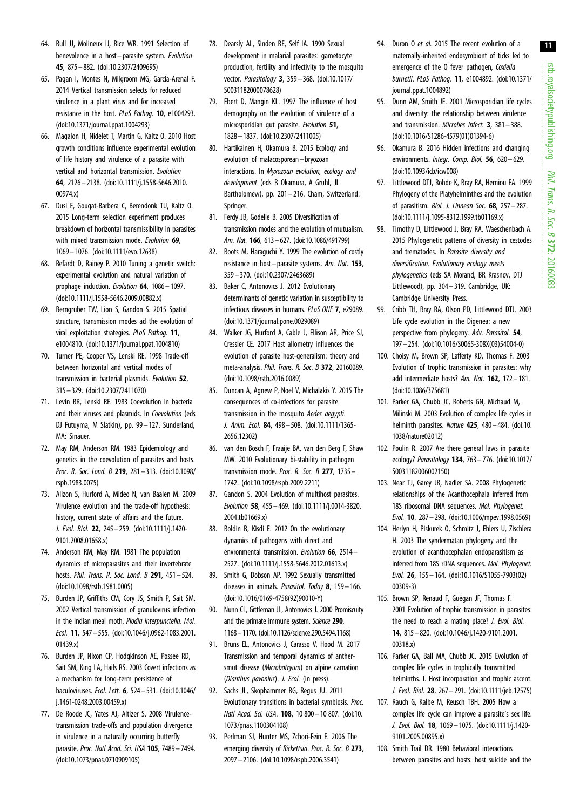- <span id="page-10-0"></span>64. Bull JJ, Molineux IJ, Rice WR. 1991 Selection of benevolence in a host-parasite system. Evolution 45, 875– 882. ([doi:10.2307/2409695\)](http://dx.doi.org/10.2307/2409695)
- 65. Pagan I, Montes N, Milgroom MG, Garcia-Arenal F. 2014 Vertical transmission selects for reduced virulence in a plant virus and for increased resistance in the host. PLoS Pathog. 10, e1004293. [\(doi:10.1371/journal.ppat.1004293](http://dx.doi.org/10.1371/journal.ppat.1004293))
- 66. Magalon H, Nidelet T, Martin G, Kaltz O. 2010 Host growth conditions influence experimental evolution of life history and virulence of a parasite with vertical and horizontal transmission. Evolution 64, 2126– 2138. [\(doi:10.1111/j.1558-5646.2010.](http://dx.doi.org/10.1111/j.1558-5646.2010.00974.x) [00974.x\)](http://dx.doi.org/10.1111/j.1558-5646.2010.00974.x)
- 67. Dusi E, Gougat-Barbera C, Berendonk TU, Kaltz O. 2015 Long-term selection experiment produces breakdown of horizontal transmissibility in parasites with mixed transmission mode. Evolution 69, 1069 – 1076. [\(doi:10.1111/evo.12638\)](http://dx.doi.org/10.1111/evo.12638)
- 68. Refardt D, Rainey P. 2010 Tuning a genetic switch: experimental evolution and natural variation of prophage induction. Evolution 64, 1086 – 1097. [\(doi:10.1111/j.1558-5646.2009.00882.x](http://dx.doi.org/10.1111/j.1558-5646.2009.00882.x))
- 69. Berngruber TW, Lion S, Gandon S. 2015 Spatial structure, transmission modes ad the evolution of viral exploitation strategies. PLoS Pathoa. 11, e1004810. ([doi:10.1371/journal.ppat.1004810\)](http://dx.doi.org/10.1371/journal.ppat.1004810)
- 70. Turner PE, Cooper VS, Lenski RE. 1998 Trade-off between horizontal and vertical modes of transmission in bacterial plasmids. Evolution 52, 315– 329. ([doi:10.2307/2411070\)](http://dx.doi.org/10.2307/2411070)
- 71. Levin BR, Lenski RE. 1983 Coevolution in bacteria and their viruses and plasmids. In Coevolution (eds DJ Futuyma, M Slatkin), pp. 99 – 127. Sunderland, MA: Sinauer.
- 72. May RM, Anderson RM. 1983 Epidemiology and genetics in the coevolution of parasites and hosts. Proc. R. Soc. Lond. B 219, 281– 313. ([doi:10.1098/](http://dx.doi.org/10.1098/rspb.1983.0075) [rspb.1983.0075](http://dx.doi.org/10.1098/rspb.1983.0075))
- 73. Alizon S, Hurford A, Mideo N, van Baalen M. 2009 Virulence evolution and the trade-off hypothesis: history, current state of affairs and the future. J. Evol. Biol. 22, 245– 259. ([doi:10.1111/j.1420-](http://dx.doi.org/10.1111/j.1420-9101.2008.01658.x) [9101.2008.01658.x](http://dx.doi.org/10.1111/j.1420-9101.2008.01658.x))
- 74. Anderson RM, May RM. 1981 The population dynamics of microparasites and their invertebrate hosts. Phil. Trans. R. Soc. Lond. B 291, 451– 524. [\(doi:10.1098/rstb.1981.0005\)](http://dx.doi.org/10.1098/rstb.1981.0005)
- 75. Burden JP, Griffiths CM, Cory JS, Smith P, Sait SM. 2002 Vertical transmission of granulovirus infection in the Indian meal moth, Plodia interpunctella. Mol. Ecol. 11, 547– 555. ([doi:10.1046/j.0962-1083.2001.](http://dx.doi.org/10.1046/j.0962-1083.2001.01439.x) [01439.x\)](http://dx.doi.org/10.1046/j.0962-1083.2001.01439.x)
- 76. Burden JP, Nixon CP, Hodgkinson AE, Possee RD, Sait SM, King LA, Hails RS. 2003 Covert infections as a mechanism for long-term persistence of baculoviruses. Ecol. Lett. 6, 524– 531. ([doi:10.1046/](http://dx.doi.org/10.1046/j.1461-0248.2003.00459.x) [j.1461-0248.2003.00459.x](http://dx.doi.org/10.1046/j.1461-0248.2003.00459.x))
- 77. De Roode JC, Yates AJ, Altizer S. 2008 Virulencetransmission trade-offs and population divergence in virulence in a naturally occurring butterfly parasite. Proc. Natl Acad. Sci. USA 105, 7489-7494. [\(doi:10.1073/pnas.0710909105](http://dx.doi.org/10.1073/pnas.0710909105))
- 78. Dearsly AL, Sinden RE, Self IA. 1990 Sexual development in malarial parasites: gametocyte production, fertility and infectivity to the mosquito vector. Parasitology 3, 359 – 368. ([doi:10.1017/](http://dx.doi.org/10.1017/S0031182000078628) [S0031182000078628](http://dx.doi.org/10.1017/S0031182000078628))
- 79. Ebert D, Mangin KL. 1997 The influence of host demography on the evolution of virulence of a microsporidian qut parasite. Evolution 51, 1828– 1837. [\(doi:10.2307/2411005](http://dx.doi.org/10.2307/2411005))
- 80. Hartikainen H, Okamura B. 2015 Ecology and evolution of malacosporean-bryozoan interactions. In Myxozoan evolution, ecology and development (eds B Okamura, A Gruhl, JL Bartholomew), pp. 201– 216. Cham, Switzerland: Springer.
- 81. Ferdy JB, Godelle B. 2005 Diversification of transmission modes and the evolution of mutualism. Am. Nat. 166, 613-627. [\(doi:10.1086/491799](http://dx.doi.org/10.1086/491799))
- 82. Boots M, Haraguchi Y. 1999 The evolution of costly resistance in host-parasite systems. Am. Nat. 153, 359 – 370. [\(doi:10.2307/2463689\)](http://dx.doi.org/10.2307/2463689)
- 83. Baker C, Antonovics J. 2012 Evolutionary determinants of genetic variation in susceptibility to infectious diseases in humans. PLoS ONE 7, e29089. [\(doi:10.1371/journal.pone.0029089\)](http://dx.doi.org/10.1371/journal.pone.0029089)
- 84. Walker JG, Hurford A, Cable J, Ellison AR, Price SJ, Cressler CE. 2017 Host allometry influences the evolution of parasite host-generalism: theory and meta-analysis. Phil. Trans. R. Soc. B 372, 20160089. [\(doi:10.1098/rstb.2016.0089](http://dx.doi.org/10.1098/rstb.2016.0089))
- 85. Duncan A, Agnew P, Noel V, Michalakis Y. 2015 The consequences of co-infections for parasite transmission in the mosquito Aedes aegypti. J. Anim. Ecol. 84, 498– 508. [\(doi:10.1111/1365-](http://dx.doi.org/10.1111/1365-2656.12302) [2656.12302\)](http://dx.doi.org/10.1111/1365-2656.12302)
- 86. van den Bosch F, Fraaije BA, van den Berg F, Shaw MW. 2010 Evolutionary bi-stability in pathogen transmission mode. Proc. R. Soc. B  $277$ , 1735-1742. [\(doi:10.1098/rspb.2009.2211](http://dx.doi.org/10.1098/rspb.2009.2211))
- 87. Gandon S. 2004 Evolution of multihost parasites. Evolution 58, 455 – 469. [\(doi:10.1111/j.0014-3820.](http://dx.doi.org/10.1111/j.0014-3820.2004.tb01669.x) [2004.tb01669.x](http://dx.doi.org/10.1111/j.0014-3820.2004.tb01669.x))
- 88. Boldin B, Kisdi E. 2012 On the evolutionary dynamics of pathogens with direct and envronmental transmission. Evolution 66, 2514 – 2527. [\(doi:10.1111/j.1558-5646.2012.01613.x](http://dx.doi.org/10.1111/j.1558-5646.2012.01613.x))
- 89. Smith G, Dobson AP. 1992 Sexually transmitted diseases in animals. Parasitol. Today 8, 159– 166. [\(doi:10.1016/0169-4758\(92\)90010-Y](http://dx.doi.org/10.1016/0169-4758(92)90010-Y))
- 90. Nunn CL, Gittleman JL, Antonovics J. 2000 Promiscuity and the primate immune system. Science 290. 1168–1170. [\(doi:10.1126/science.290.5494.1168\)](http://dx.doi.org/10.1126/science.290.5494.1168)
- 91. Bruns EL, Antonovics J, Carasso V, Hood M. 2017 Transmission and temporal dynamics of anthersmut disease (Microbotryum) on alpine carnation (Dianthus pavonius). J. Ecol. (in press).
- 92. Sachs JL, Skophammer RG, Regus JU. 2011 Evolutionary transitions in bacterial symbiosis. Proc. Natl Acad. Sci. USA. 108, 10 800– 10 807. [\(doi:10.](http://dx.doi.org/10.1073/pnas.1100304108) [1073/pnas.1100304108](http://dx.doi.org/10.1073/pnas.1100304108))
- 93. Perlman SJ, Hunter MS, Zchori-Fein E. 2006 The emerging diversity of Rickettsia. Proc. R. Soc. B 273, 2097– 2106. [\(doi:10.1098/rspb.2006.3541\)](http://dx.doi.org/10.1098/rspb.2006.3541)
- 94. Duron 0 et al. 2015 The recent evolution of a maternally-inherited endosymbiont of ticks led to emergence of the Q fever pathogen, Coxiella burnetii. PLoS Pathog. 11, e1004892. [\(doi:10.1371/](http://dx.doi.org/10.1371/journal.ppat.1004892) [journal.ppat.1004892](http://dx.doi.org/10.1371/journal.ppat.1004892))
- 95. Dunn AM, Smith JE. 2001 Microsporidian life cycles and diversity: the relationship between virulence and transmission. Microbes Infect. 3, 381– 388. ([doi:10.1016/S1286-4579\(01\)01394-6](http://dx.doi.org/10.1016/S1286-4579(01)01394-6))
- 96. Okamura B. 2016 Hidden infections and changing environments. *Integr. Comp. Biol.* 56, 620 – 629. ([doi:10.1093/icb/icw008](http://dx.doi.org/10.1093/icb/icw008))
- 97. Littlewood DTJ, Rohde K, Bray RA, Herniou EA. 1999 Phylogeny of the Platyhelminthes and the evolution of parasitism. *Biol. J. Linnean Soc.*  $68$ ,  $257 - 287$ . ([doi:10.1111/j.1095-8312.1999.tb01169.x\)](http://dx.doi.org/10.1111/j.1095-8312.1999.tb01169.x)
- 98. Timothy D, Littlewood J, Bray RA, Waeschenbach A. 2015 Phylogenetic patterns of diversity in cestodes and trematodes. In Parasite diversity and diversification. Evolutionary ecology meets phylogenetics (eds SA Morand, BR Krasnov, DTJ Littlewood), pp. 304– 319. Cambridge, UK: Cambridge University Press.
- 99. Cribb TH, Bray RA, Olson PD, Littlewood DTJ. 2003 Life cycle evolution in the Digenea: a new perspective from phylogeny. Adv. Parasitol. 54, 197– 254. [\(doi:10.1016/S0065-308X\(03\)54004-0](http://dx.doi.org/10.1016/S0065-308X(03)54004-0))
- 100. Choisy M, Brown SP, Lafferty KD, Thomas F. 2003 Evolution of trophic transmission in parasites: why add intermediate hosts? Am. Nat. 162, 172– 181. ([doi:10.1086/375681\)](http://dx.doi.org/10.1086/375681)
- 101. Parker GA, Chubb JC, Roberts GN, Michaud M, Milinski M. 2003 Evolution of complex life cycles in helminth parasites. Nature 425, 480-484. [\(doi:10.](http://dx.doi.org/10.1038/nature02012) [1038/nature02012](http://dx.doi.org/10.1038/nature02012))
- 102. Poulin R. 2007 Are there general laws in parasite ecology? Parasitology 134, 763 – 776. [\(doi:10.1017/](http://dx.doi.org/10.1017/S0031182006002150) [S0031182006002150\)](http://dx.doi.org/10.1017/S0031182006002150)
- 103. Near TJ, Garey JR, Nadler SA. 2008 Phylogenetic relationships of the Acanthocephala inferred from 18S ribosomal DNA sequences. Mol. Phylogenet. Evol. 10, 287– 298. ([doi:10.1006/mpev.1998.0569](http://dx.doi.org/10.1006/mpev.1998.0569))
- 104. Herlyn H, Piskurek O, Schmitz J, Ehlers U, Zischlera H. 2003 The syndermatan phylogeny and the evolution of acanthocephalan endoparasitism as inferred from 18S rDNA sequences. Mol. Phylogenet. Evol. 26, 155– 164. ([doi:10.1016/S1055-7903\(02\)](http://dx.doi.org/10.1016/S1055-7903(02)00309-3) [00309-3](http://dx.doi.org/10.1016/S1055-7903(02)00309-3))
- 105. Brown SP, Renaud F, Guégan JF, Thomas F. 2001 Evolution of trophic transmission in parasites: the need to reach a mating place? *J. Evol. Biol.* 14, 815 – 820. [\(doi:10.1046/j.1420-9101.2001.](http://dx.doi.org/10.1046/j.1420-9101.2001.00318.x) [00318.x](http://dx.doi.org/10.1046/j.1420-9101.2001.00318.x))
- 106. Parker GA, Ball MA, Chubb JC. 2015 Evolution of complex life cycles in trophically transmitted helminths. I. Host incorporation and trophic ascent. J. Evol. Biol. 28, 267– 291. ([doi:10.1111/jeb.12575](http://dx.doi.org/10.1111/jeb.12575))
- 107. Rauch G, Kalbe M, Reusch TBH. 2005 How a complex life cycle can improve a parasite's sex life. J. Evol. Biol. 18, 1069– 1075. [\(doi:10.1111/j.1420-](http://dx.doi.org/10.1111/j.1420-9101.2005.00895.x) [9101.2005.00895.x\)](http://dx.doi.org/10.1111/j.1420-9101.2005.00895.x)
- 108. Smith Trail DR. 1980 Behavioral interactions between parasites and hosts: host suicide and the